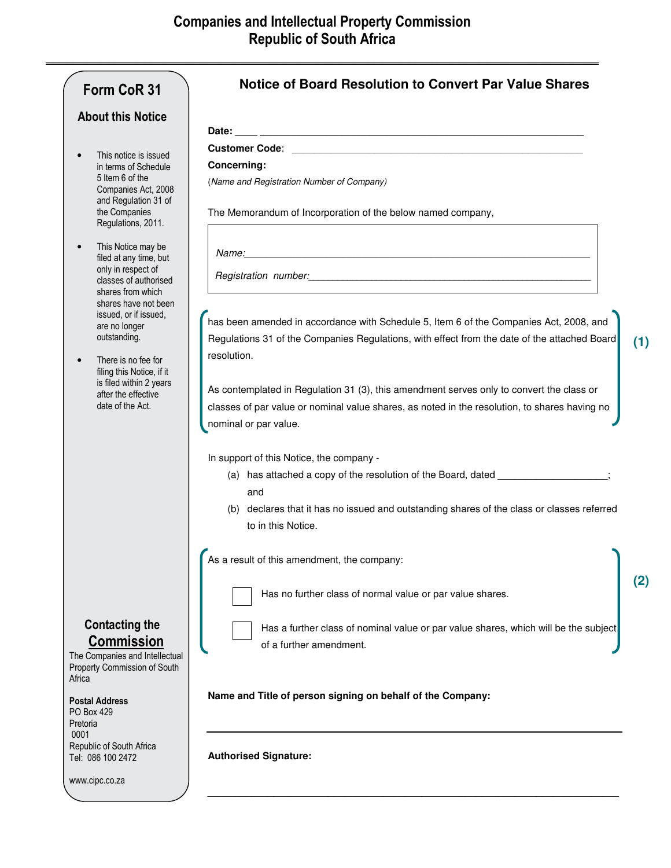| <b>About this Notice</b><br>This notice is issued<br><b>Concerning:</b><br>in terms of Schedule<br>5 Item 6 of the<br>(Name and Registration Number of Company)<br>Companies Act, 2008<br>and Regulation 31 of<br>the Companies<br>The Memorandum of Incorporation of the below named company,<br>Regulations, 2011.<br>This Notice may be<br>filed at any time, but<br>only in respect of<br>Registration number: Manual Communication of the contract of the contract of the contract of the contract of the contract of the contract of the contract of the contract of the contract of the contract of the contract of t<br>classes of authorised<br>shares from which<br>shares have not been<br>issued, or if issued,<br>has been amended in accordance with Schedule 5, Item 6 of the Companies Act, 2008, and<br>are no longer<br>outstanding.<br>Regulations 31 of the Companies Regulations, with effect from the date of the attached Board<br>resolution.<br>There is no fee for<br>filing this Notice, if it<br>is filed within 2 years<br>As contemplated in Regulation 31 (3), this amendment serves only to convert the class or<br>after the effective<br>date of the Act.<br>classes of par value or nominal value shares, as noted in the resolution, to shares having no<br>nominal or par value.<br>In support of this Notice, the company -<br>(a) has attached a copy of the resolution of the Board, dated __________________<br>and<br>(b) declares that it has no issued and outstanding shares of the class or classes referred<br>to in this Notice.<br>As a result of this amendment, the company:<br>Has no further class of normal value or par value shares.<br><b>Contacting the</b><br>Has a further class of nominal value or par value shares, which will be the subject<br><b>Commission</b><br>of a further amendment.<br>The Companies and Intellectual<br>Property Commission of South<br>Africa<br>Name and Title of person signing on behalf of the Company:<br><b>Postal Address</b><br>PO Box 429<br>Pretoria<br>0001 |  |
|-------------------------------------------------------------------------------------------------------------------------------------------------------------------------------------------------------------------------------------------------------------------------------------------------------------------------------------------------------------------------------------------------------------------------------------------------------------------------------------------------------------------------------------------------------------------------------------------------------------------------------------------------------------------------------------------------------------------------------------------------------------------------------------------------------------------------------------------------------------------------------------------------------------------------------------------------------------------------------------------------------------------------------------------------------------------------------------------------------------------------------------------------------------------------------------------------------------------------------------------------------------------------------------------------------------------------------------------------------------------------------------------------------------------------------------------------------------------------------------------------------------------------------------------------------------------------------------------------------------------------------------------------------------------------------------------------------------------------------------------------------------------------------------------------------------------------------------------------------------------------------------------------------------------------------------------------------------------------------------------------------------------------------------------------------------------|--|
|                                                                                                                                                                                                                                                                                                                                                                                                                                                                                                                                                                                                                                                                                                                                                                                                                                                                                                                                                                                                                                                                                                                                                                                                                                                                                                                                                                                                                                                                                                                                                                                                                                                                                                                                                                                                                                                                                                                                                                                                                                                                   |  |
|                                                                                                                                                                                                                                                                                                                                                                                                                                                                                                                                                                                                                                                                                                                                                                                                                                                                                                                                                                                                                                                                                                                                                                                                                                                                                                                                                                                                                                                                                                                                                                                                                                                                                                                                                                                                                                                                                                                                                                                                                                                                   |  |
|                                                                                                                                                                                                                                                                                                                                                                                                                                                                                                                                                                                                                                                                                                                                                                                                                                                                                                                                                                                                                                                                                                                                                                                                                                                                                                                                                                                                                                                                                                                                                                                                                                                                                                                                                                                                                                                                                                                                                                                                                                                                   |  |
|                                                                                                                                                                                                                                                                                                                                                                                                                                                                                                                                                                                                                                                                                                                                                                                                                                                                                                                                                                                                                                                                                                                                                                                                                                                                                                                                                                                                                                                                                                                                                                                                                                                                                                                                                                                                                                                                                                                                                                                                                                                                   |  |
|                                                                                                                                                                                                                                                                                                                                                                                                                                                                                                                                                                                                                                                                                                                                                                                                                                                                                                                                                                                                                                                                                                                                                                                                                                                                                                                                                                                                                                                                                                                                                                                                                                                                                                                                                                                                                                                                                                                                                                                                                                                                   |  |
|                                                                                                                                                                                                                                                                                                                                                                                                                                                                                                                                                                                                                                                                                                                                                                                                                                                                                                                                                                                                                                                                                                                                                                                                                                                                                                                                                                                                                                                                                                                                                                                                                                                                                                                                                                                                                                                                                                                                                                                                                                                                   |  |
|                                                                                                                                                                                                                                                                                                                                                                                                                                                                                                                                                                                                                                                                                                                                                                                                                                                                                                                                                                                                                                                                                                                                                                                                                                                                                                                                                                                                                                                                                                                                                                                                                                                                                                                                                                                                                                                                                                                                                                                                                                                                   |  |
|                                                                                                                                                                                                                                                                                                                                                                                                                                                                                                                                                                                                                                                                                                                                                                                                                                                                                                                                                                                                                                                                                                                                                                                                                                                                                                                                                                                                                                                                                                                                                                                                                                                                                                                                                                                                                                                                                                                                                                                                                                                                   |  |
|                                                                                                                                                                                                                                                                                                                                                                                                                                                                                                                                                                                                                                                                                                                                                                                                                                                                                                                                                                                                                                                                                                                                                                                                                                                                                                                                                                                                                                                                                                                                                                                                                                                                                                                                                                                                                                                                                                                                                                                                                                                                   |  |
|                                                                                                                                                                                                                                                                                                                                                                                                                                                                                                                                                                                                                                                                                                                                                                                                                                                                                                                                                                                                                                                                                                                                                                                                                                                                                                                                                                                                                                                                                                                                                                                                                                                                                                                                                                                                                                                                                                                                                                                                                                                                   |  |
|                                                                                                                                                                                                                                                                                                                                                                                                                                                                                                                                                                                                                                                                                                                                                                                                                                                                                                                                                                                                                                                                                                                                                                                                                                                                                                                                                                                                                                                                                                                                                                                                                                                                                                                                                                                                                                                                                                                                                                                                                                                                   |  |
|                                                                                                                                                                                                                                                                                                                                                                                                                                                                                                                                                                                                                                                                                                                                                                                                                                                                                                                                                                                                                                                                                                                                                                                                                                                                                                                                                                                                                                                                                                                                                                                                                                                                                                                                                                                                                                                                                                                                                                                                                                                                   |  |
|                                                                                                                                                                                                                                                                                                                                                                                                                                                                                                                                                                                                                                                                                                                                                                                                                                                                                                                                                                                                                                                                                                                                                                                                                                                                                                                                                                                                                                                                                                                                                                                                                                                                                                                                                                                                                                                                                                                                                                                                                                                                   |  |
|                                                                                                                                                                                                                                                                                                                                                                                                                                                                                                                                                                                                                                                                                                                                                                                                                                                                                                                                                                                                                                                                                                                                                                                                                                                                                                                                                                                                                                                                                                                                                                                                                                                                                                                                                                                                                                                                                                                                                                                                                                                                   |  |
|                                                                                                                                                                                                                                                                                                                                                                                                                                                                                                                                                                                                                                                                                                                                                                                                                                                                                                                                                                                                                                                                                                                                                                                                                                                                                                                                                                                                                                                                                                                                                                                                                                                                                                                                                                                                                                                                                                                                                                                                                                                                   |  |
|                                                                                                                                                                                                                                                                                                                                                                                                                                                                                                                                                                                                                                                                                                                                                                                                                                                                                                                                                                                                                                                                                                                                                                                                                                                                                                                                                                                                                                                                                                                                                                                                                                                                                                                                                                                                                                                                                                                                                                                                                                                                   |  |
|                                                                                                                                                                                                                                                                                                                                                                                                                                                                                                                                                                                                                                                                                                                                                                                                                                                                                                                                                                                                                                                                                                                                                                                                                                                                                                                                                                                                                                                                                                                                                                                                                                                                                                                                                                                                                                                                                                                                                                                                                                                                   |  |
|                                                                                                                                                                                                                                                                                                                                                                                                                                                                                                                                                                                                                                                                                                                                                                                                                                                                                                                                                                                                                                                                                                                                                                                                                                                                                                                                                                                                                                                                                                                                                                                                                                                                                                                                                                                                                                                                                                                                                                                                                                                                   |  |
|                                                                                                                                                                                                                                                                                                                                                                                                                                                                                                                                                                                                                                                                                                                                                                                                                                                                                                                                                                                                                                                                                                                                                                                                                                                                                                                                                                                                                                                                                                                                                                                                                                                                                                                                                                                                                                                                                                                                                                                                                                                                   |  |
|                                                                                                                                                                                                                                                                                                                                                                                                                                                                                                                                                                                                                                                                                                                                                                                                                                                                                                                                                                                                                                                                                                                                                                                                                                                                                                                                                                                                                                                                                                                                                                                                                                                                                                                                                                                                                                                                                                                                                                                                                                                                   |  |
|                                                                                                                                                                                                                                                                                                                                                                                                                                                                                                                                                                                                                                                                                                                                                                                                                                                                                                                                                                                                                                                                                                                                                                                                                                                                                                                                                                                                                                                                                                                                                                                                                                                                                                                                                                                                                                                                                                                                                                                                                                                                   |  |
|                                                                                                                                                                                                                                                                                                                                                                                                                                                                                                                                                                                                                                                                                                                                                                                                                                                                                                                                                                                                                                                                                                                                                                                                                                                                                                                                                                                                                                                                                                                                                                                                                                                                                                                                                                                                                                                                                                                                                                                                                                                                   |  |
|                                                                                                                                                                                                                                                                                                                                                                                                                                                                                                                                                                                                                                                                                                                                                                                                                                                                                                                                                                                                                                                                                                                                                                                                                                                                                                                                                                                                                                                                                                                                                                                                                                                                                                                                                                                                                                                                                                                                                                                                                                                                   |  |
|                                                                                                                                                                                                                                                                                                                                                                                                                                                                                                                                                                                                                                                                                                                                                                                                                                                                                                                                                                                                                                                                                                                                                                                                                                                                                                                                                                                                                                                                                                                                                                                                                                                                                                                                                                                                                                                                                                                                                                                                                                                                   |  |
|                                                                                                                                                                                                                                                                                                                                                                                                                                                                                                                                                                                                                                                                                                                                                                                                                                                                                                                                                                                                                                                                                                                                                                                                                                                                                                                                                                                                                                                                                                                                                                                                                                                                                                                                                                                                                                                                                                                                                                                                                                                                   |  |
|                                                                                                                                                                                                                                                                                                                                                                                                                                                                                                                                                                                                                                                                                                                                                                                                                                                                                                                                                                                                                                                                                                                                                                                                                                                                                                                                                                                                                                                                                                                                                                                                                                                                                                                                                                                                                                                                                                                                                                                                                                                                   |  |
|                                                                                                                                                                                                                                                                                                                                                                                                                                                                                                                                                                                                                                                                                                                                                                                                                                                                                                                                                                                                                                                                                                                                                                                                                                                                                                                                                                                                                                                                                                                                                                                                                                                                                                                                                                                                                                                                                                                                                                                                                                                                   |  |
|                                                                                                                                                                                                                                                                                                                                                                                                                                                                                                                                                                                                                                                                                                                                                                                                                                                                                                                                                                                                                                                                                                                                                                                                                                                                                                                                                                                                                                                                                                                                                                                                                                                                                                                                                                                                                                                                                                                                                                                                                                                                   |  |
|                                                                                                                                                                                                                                                                                                                                                                                                                                                                                                                                                                                                                                                                                                                                                                                                                                                                                                                                                                                                                                                                                                                                                                                                                                                                                                                                                                                                                                                                                                                                                                                                                                                                                                                                                                                                                                                                                                                                                                                                                                                                   |  |
|                                                                                                                                                                                                                                                                                                                                                                                                                                                                                                                                                                                                                                                                                                                                                                                                                                                                                                                                                                                                                                                                                                                                                                                                                                                                                                                                                                                                                                                                                                                                                                                                                                                                                                                                                                                                                                                                                                                                                                                                                                                                   |  |
|                                                                                                                                                                                                                                                                                                                                                                                                                                                                                                                                                                                                                                                                                                                                                                                                                                                                                                                                                                                                                                                                                                                                                                                                                                                                                                                                                                                                                                                                                                                                                                                                                                                                                                                                                                                                                                                                                                                                                                                                                                                                   |  |
|                                                                                                                                                                                                                                                                                                                                                                                                                                                                                                                                                                                                                                                                                                                                                                                                                                                                                                                                                                                                                                                                                                                                                                                                                                                                                                                                                                                                                                                                                                                                                                                                                                                                                                                                                                                                                                                                                                                                                                                                                                                                   |  |
|                                                                                                                                                                                                                                                                                                                                                                                                                                                                                                                                                                                                                                                                                                                                                                                                                                                                                                                                                                                                                                                                                                                                                                                                                                                                                                                                                                                                                                                                                                                                                                                                                                                                                                                                                                                                                                                                                                                                                                                                                                                                   |  |
|                                                                                                                                                                                                                                                                                                                                                                                                                                                                                                                                                                                                                                                                                                                                                                                                                                                                                                                                                                                                                                                                                                                                                                                                                                                                                                                                                                                                                                                                                                                                                                                                                                                                                                                                                                                                                                                                                                                                                                                                                                                                   |  |
|                                                                                                                                                                                                                                                                                                                                                                                                                                                                                                                                                                                                                                                                                                                                                                                                                                                                                                                                                                                                                                                                                                                                                                                                                                                                                                                                                                                                                                                                                                                                                                                                                                                                                                                                                                                                                                                                                                                                                                                                                                                                   |  |
| Republic of South Africa<br><b>Authorised Signature:</b><br>Tel: 086 100 2472                                                                                                                                                                                                                                                                                                                                                                                                                                                                                                                                                                                                                                                                                                                                                                                                                                                                                                                                                                                                                                                                                                                                                                                                                                                                                                                                                                                                                                                                                                                                                                                                                                                                                                                                                                                                                                                                                                                                                                                     |  |

\_\_\_\_\_\_\_\_\_\_\_\_\_\_\_\_\_\_\_\_\_\_\_\_\_\_\_\_\_\_\_\_\_\_\_\_\_\_\_\_\_\_\_\_\_\_\_\_\_\_\_\_\_\_\_\_\_\_\_\_\_\_\_\_\_\_\_\_\_\_\_\_\_\_\_

**(1)**

**(2)**